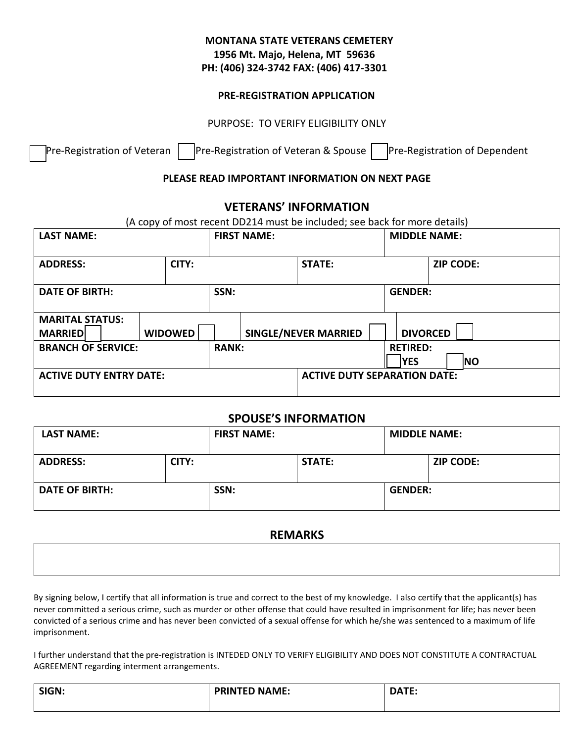# **MONTANA STATE VETERANS CEMETERY 1956 Mt. Majo, Helena, MT 59636 PH: (406) 324-3742 FAX: (406) 417-3301**

#### **PRE-REGISTRATION APPLICATION**

PURPOSE: TO VERIFY ELIGIBILITY ONLY

 $\mathsf{Pre}\text{-}$ Registration of Veteran  $\Box$ Pre-Registration of Veteran & Spouse  $\Box$ Pre-Registration of Dependent

### **PLEASE READ IMPORTANT INFORMATION ON NEXT PAGE**

## **VETERANS' INFORMATION**

| (A copy of most recent DD214 must be included; see back for more details) |                |                    |                                     |                               |                 |                     |  |  |
|---------------------------------------------------------------------------|----------------|--------------------|-------------------------------------|-------------------------------|-----------------|---------------------|--|--|
| <b>LAST NAME:</b>                                                         |                | <b>FIRST NAME:</b> |                                     |                               |                 | <b>MIDDLE NAME:</b> |  |  |
| <b>ADDRESS:</b><br>CITY:                                                  |                |                    |                                     | <b>STATE:</b>                 |                 | <b>ZIP CODE:</b>    |  |  |
| <b>DATE OF BIRTH:</b>                                                     |                | SSN:               |                                     | <b>GENDER:</b>                |                 |                     |  |  |
| <b>MARITAL STATUS:</b><br><b>MARRIEDI</b>                                 | <b>WIDOWED</b> |                    |                                     | <b>SINGLE/NEVER MARRIED</b>   | <b>DIVORCED</b> |                     |  |  |
| <b>BRANCH OF SERVICE:</b>                                                 |                | <b>RANK:</b>       |                                     | <b>RETIRED:</b><br><b>YES</b> | <b>NO</b>       |                     |  |  |
| <b>ACTIVE DUTY ENTRY DATE:</b>                                            |                |                    | <b>ACTIVE DUTY SEPARATION DATE:</b> |                               |                 |                     |  |  |

## **SPOUSE'S INFORMATION**

| <b>LAST NAME:</b>     |       | <b>FIRST NAME:</b> |               | <b>MIDDLE NAME:</b> |                  |
|-----------------------|-------|--------------------|---------------|---------------------|------------------|
| <b>ADDRESS:</b>       | CITY: |                    | <b>STATE:</b> |                     | <b>ZIP CODE:</b> |
| <b>DATE OF BIRTH:</b> |       | SSN:               |               | <b>GENDER:</b>      |                  |

#### **REMARKS**

By signing below, I certify that all information is true and correct to the best of my knowledge. I also certify that the applicant(s) has never committed a serious crime, such as murder or other offense that could have resulted in imprisonment for life; has never been convicted of a serious crime and has never been convicted of a sexual offense for which he/she was sentenced to a maximum of life imprisonment.

I further understand that the pre-registration is INTEDED ONLY TO VERIFY ELIGIBILITY AND DOES NOT CONSTITUTE A CONTRACTUAL AGREEMENT regarding interment arrangements.

| SIGN: | <b>PRINTED NAME:</b> | 57<br>$\sim$<br>10<br>. |
|-------|----------------------|-------------------------|
|       |                      |                         |